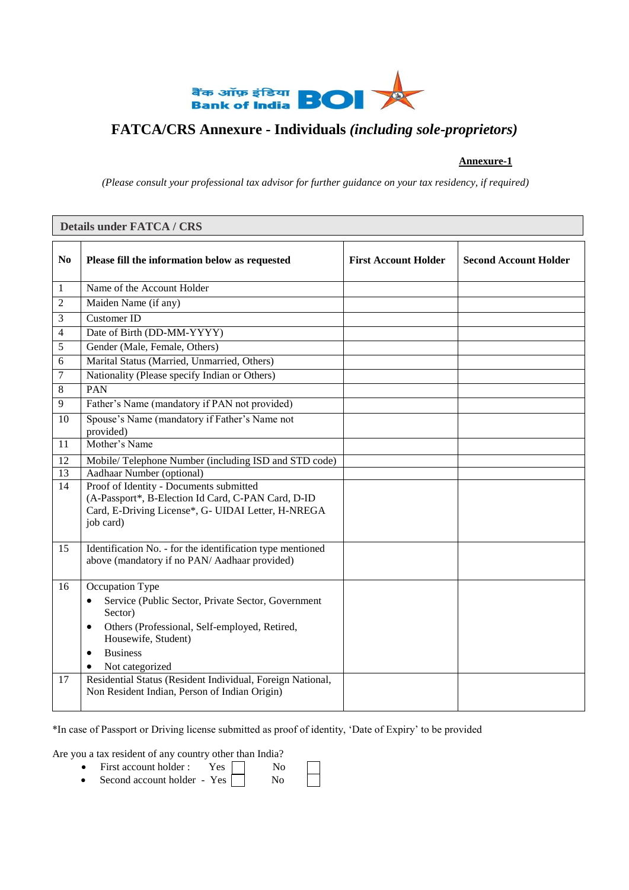

# **FATCA/CRS Annexure - Individuals** *(including sole-proprietors)*

# **Annexure-1**

*(Please consult your professional tax advisor for further guidance on your tax residency, if required)*

|                | <b>Details under FATCA / CRS</b>                                                                                                                                                                                      |                             |                              |  |  |  |
|----------------|-----------------------------------------------------------------------------------------------------------------------------------------------------------------------------------------------------------------------|-----------------------------|------------------------------|--|--|--|
| N <sub>0</sub> | Please fill the information below as requested                                                                                                                                                                        | <b>First Account Holder</b> | <b>Second Account Holder</b> |  |  |  |
| 1              | Name of the Account Holder                                                                                                                                                                                            |                             |                              |  |  |  |
| 2              | Maiden Name (if any)                                                                                                                                                                                                  |                             |                              |  |  |  |
| 3              | Customer ID                                                                                                                                                                                                           |                             |                              |  |  |  |
| 4              | Date of Birth (DD-MM-YYYY)                                                                                                                                                                                            |                             |                              |  |  |  |
| 5              | Gender (Male, Female, Others)                                                                                                                                                                                         |                             |                              |  |  |  |
| 6              | Marital Status (Married, Unmarried, Others)                                                                                                                                                                           |                             |                              |  |  |  |
| 7              | Nationality (Please specify Indian or Others)                                                                                                                                                                         |                             |                              |  |  |  |
| 8              | PAN                                                                                                                                                                                                                   |                             |                              |  |  |  |
| 9              | Father's Name (mandatory if PAN not provided)                                                                                                                                                                         |                             |                              |  |  |  |
| 10             | Spouse's Name (mandatory if Father's Name not<br>provided)                                                                                                                                                            |                             |                              |  |  |  |
| 11             | Mother's Name                                                                                                                                                                                                         |                             |                              |  |  |  |
| 12             | Mobile/Telephone Number (including ISD and STD code)                                                                                                                                                                  |                             |                              |  |  |  |
| 13             | Aadhaar Number (optional)                                                                                                                                                                                             |                             |                              |  |  |  |
| 14             | Proof of Identity - Documents submitted<br>(A-Passport*, B-Election Id Card, C-PAN Card, D-ID<br>Card, E-Driving License*, G- UIDAI Letter, H-NREGA<br>job card)                                                      |                             |                              |  |  |  |
| 15             | Identification No. - for the identification type mentioned<br>above (mandatory if no PAN/Aadhaar provided)                                                                                                            |                             |                              |  |  |  |
| 16             | Occupation Type<br>Service (Public Sector, Private Sector, Government<br>٠<br>Sector)<br>Others (Professional, Self-employed, Retired,<br>٠<br>Housewife, Student)<br><b>Business</b><br>$\bullet$<br>Not categorized |                             |                              |  |  |  |
| 17             | Residential Status (Resident Individual, Foreign National,<br>Non Resident Indian, Person of Indian Origin)                                                                                                           |                             |                              |  |  |  |

\*In case of Passport or Driving license submitted as proof of identity, 'Date of Expiry' to be provided

Are you a tax resident of any country other than India?

| First account holder:       | <b>Yes</b> | Nο |  |
|-----------------------------|------------|----|--|
| Second account holder - Yes |            | Nο |  |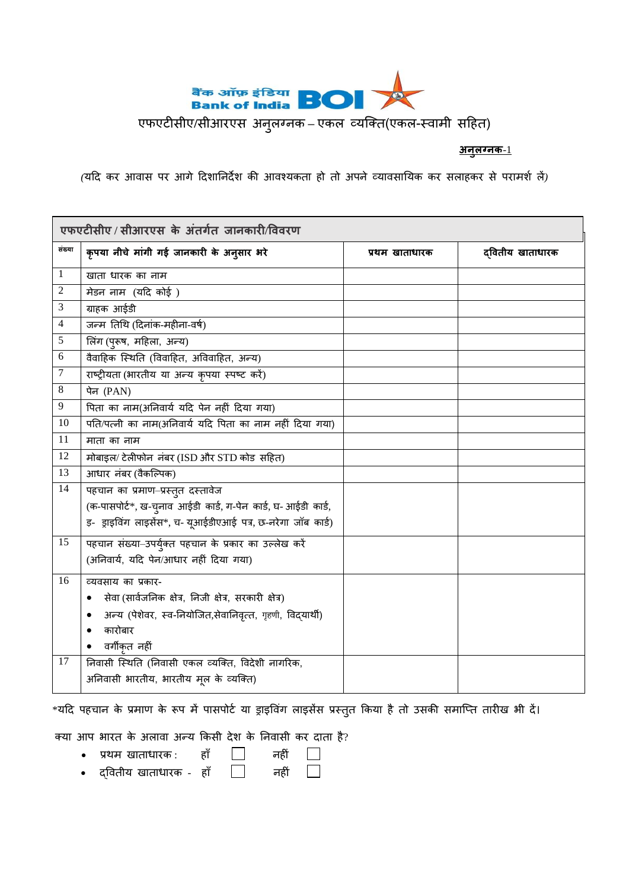

एफएटीसीए**/**सीआरएस अनुलग्नक **–** एकल व्यक्ति(एकल-स्वामी सहिि)

# **अनुलग्नक**-1

*(*यहि कर आवास पर आगे हिशाननिेश की आवश्यकिा िो िो अपने व्यावसानयक कर सलािकर से परामशश लें*)*

|                | एफएटीसीए / सीआरएस के अंतर्गत जानकारी/विवरण                    |                |                  |  |  |  |
|----------------|---------------------------------------------------------------|----------------|------------------|--|--|--|
| संख्या         | कृपया नीचे मांगी गई जानकारी के अनुसार भरे                     | प्रथम खाताधारक | द्वितीय खाताधारक |  |  |  |
| 1              | खाता धारक का नाम                                              |                |                  |  |  |  |
| $\overline{c}$ | मेडन नाम (यदि कोई)                                            |                |                  |  |  |  |
| 3              | ग्राहक आईडी                                                   |                |                  |  |  |  |
| $\overline{4}$ | जन्म तिथि (दिनांक-महीना-वर्ष)                                 |                |                  |  |  |  |
| 5              | लिंग (पुरूष, महिला, अन्य)                                     |                |                  |  |  |  |
| 6              | वैवाहिक स्थिति (विवाहित, अविवाहित, अन्य)                      |                |                  |  |  |  |
| $\tau$         | राष्ट्रीयता (भारतीय या अन्य कृपया स्पष्ट करें)                |                |                  |  |  |  |
| 8              | पेन (PAN)                                                     |                |                  |  |  |  |
| 9              | पिता का नाम(अनिवार्य यदि पेन नहीं दिया गया)                   |                |                  |  |  |  |
| 10             | पति/पत्नी का नाम(अनिवार्य यदि पिता का नाम नहीं दिया गया)      |                |                  |  |  |  |
| 11             | माता का नाम                                                   |                |                  |  |  |  |
| 12             | मोबाइल/ टेलीफोन नंबर (ISD और STD कोड सहित)                    |                |                  |  |  |  |
| 13             | आधार नंबर (वैकल्पिक)                                          |                |                  |  |  |  |
| 14             | पहचान का प्रमाण–प्रस्तुत दस्तावेज                             |                |                  |  |  |  |
|                | (क-पासपोर्ट*, ख-चुनाव आईडी कार्ड, ग-पेन कार्ड, घ- आईडी कार्ड, |                |                  |  |  |  |
|                | इ- ड्राइविंग लाइसेंस*, च- यूआईडीएआई पत्र, छ-नरेगा जॉब कार्ड)  |                |                  |  |  |  |
| 15             | पहचान संख्या-उपर्युक्त पहचान के प्रकार का उल्लेख करें         |                |                  |  |  |  |
|                | (अनिवार्य, यदि पेन/आधार नहीं दिया गया)                        |                |                  |  |  |  |
| 16             | व्यवसाय का प्रकार-                                            |                |                  |  |  |  |
|                | सेवा (सार्वजनिक क्षेत्र, निजी क्षेत्र, सरकारी क्षेत्र)<br>٠   |                |                  |  |  |  |
|                | अन्य (पेशेवर, स्व-नियोजित,सेवानिवृत्त, गृहणी, विद्यार्थी)     |                |                  |  |  |  |
|                | कारोबार                                                       |                |                  |  |  |  |
|                | वर्गीकृत नहीं                                                 |                |                  |  |  |  |
| 17             | निवासी स्थिति (निवासी एकल व्यक्ति, विदेशी नागरिक,             |                |                  |  |  |  |
|                | अनिवासी भारतीय, भारतीय मूल के व्यक्ति)                        |                |                  |  |  |  |

\*यदि पहचान के प्रमाण के रूप में पासपोर्ट या ड्राइविंग लाइसेंस प्रस्तुत किया है तो उसकी समाप्ति तारीख भी दें।

क्या आप भारत के अलावा अन्य किसी देश के निवासी कर दाता है?

- प्रथम खाताधारक : हाँ □ नहीं
- $\bullet$  द्वितीय खाताधारक हाँ  $\Box$  नहीं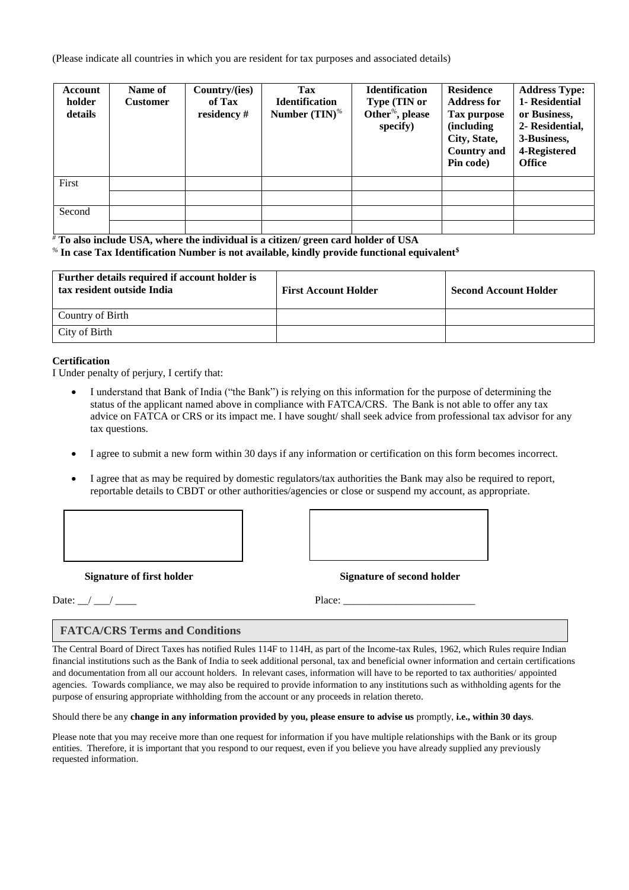(Please indicate all countries in which you are resident for tax purposes and associated details)

| <b>Account</b><br>holder<br>details | Name of<br><b>Customer</b> | Country/(ies)<br>of Tax<br>residency # | Tax<br><b>Identification</b><br>Number $(TIN)$ <sup>%</sup> | <b>Identification</b><br>Type (TIN or<br>Other <sup>%</sup> , please<br>specify) | <b>Residence</b><br><b>Address for</b><br><b>Tax purpose</b><br>(including<br>City, State,<br><b>Country and</b><br>Pin code) | <b>Address Type:</b><br>1- Residential<br>or Business,<br>2- Residential,<br>3-Business,<br>4-Registered<br><b>Office</b> |
|-------------------------------------|----------------------------|----------------------------------------|-------------------------------------------------------------|----------------------------------------------------------------------------------|-------------------------------------------------------------------------------------------------------------------------------|---------------------------------------------------------------------------------------------------------------------------|
| First                               |                            |                                        |                                                             |                                                                                  |                                                                                                                               |                                                                                                                           |
|                                     |                            |                                        |                                                             |                                                                                  |                                                                                                                               |                                                                                                                           |
| Second                              |                            |                                        |                                                             |                                                                                  |                                                                                                                               |                                                                                                                           |
|                                     |                            |                                        |                                                             |                                                                                  |                                                                                                                               |                                                                                                                           |

*#* **To also include USA, where the individual is a citizen/ green card holder of USA** *%* **In case Tax Identification Number is not available, kindly provide functional equivalent\$**

| Further details required if account holder is<br>tax resident outside India | <b>First Account Holder</b> | <b>Second Account Holder</b> |
|-----------------------------------------------------------------------------|-----------------------------|------------------------------|
| Country of Birth                                                            |                             |                              |
| City of Birth                                                               |                             |                              |

#### **Certification**

I Under penalty of perjury, I certify that:

- I understand that Bank of India ("the Bank") is relying on this information for the purpose of determining the status of the applicant named above in compliance with FATCA/CRS. The Bank is not able to offer any tax advice on FATCA or CRS or its impact me. I have sought/ shall seek advice from professional tax advisor for any tax questions.
- I agree to submit a new form within 30 days if any information or certification on this form becomes incorrect.
- I agree that as may be required by domestic regulators/tax authorities the Bank may also be required to report, reportable details to CBDT or other authorities/agencies or close or suspend my account, as appropriate.



**Signature of first holder Signature of second holder Signature of second holder** 

Date: \_\_/ \_\_\_/ \_\_\_\_ Place: \_\_\_\_\_\_\_\_\_\_\_\_\_\_\_\_\_\_\_\_\_\_\_\_\_

#### **FATCA/CRS Terms and Conditions**

The Central Board of Direct Taxes has notified Rules 114F to 114H, as part of the Income-tax Rules, 1962, which Rules require Indian financial institutions such as the Bank of India to seek additional personal, tax and beneficial owner information and certain certifications and documentation from all our account holders. In relevant cases, information will have to be reported to tax authorities/ appointed agencies. Towards compliance, we may also be required to provide information to any institutions such as withholding agents for the purpose of ensuring appropriate withholding from the account or any proceeds in relation thereto.

Should there be any **change in any information provided by you, please ensure to advise us** promptly, **i.e., within 30 days**.

Please note that you may receive more than one request for information if you have multiple relationships with the Bank or its group entities. Therefore, it is important that you respond to our request, even if you believe you have already supplied any previously requested information.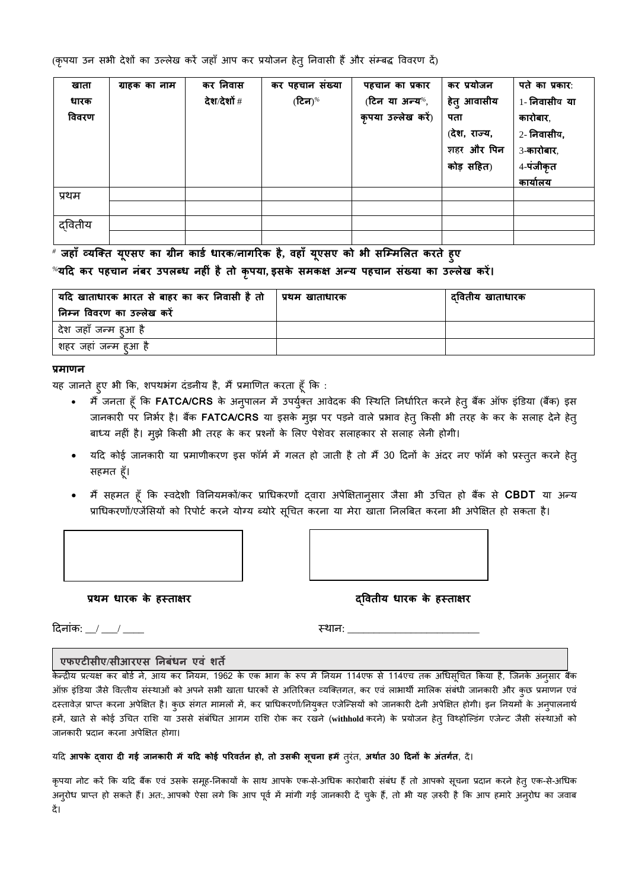(कृपया उन सभी देशों का उल्लेख करें जहाँ आप कर प्रयोजन हेतु निवासी हैं और संम्बद्ध विवरण दें)

| खाता   | ग्राहक का नाम | कर निवास    | कर पहचान संख्या | पहचान का प्रकार    | कर प्रयोजन   | पते का प्रकार:  |
|--------|---------------|-------------|-----------------|--------------------|--------------|-----------------|
| धारक   |               | देश⁄देशों # | (टिन) $%$       | (टिन या अन्य%,     | हेतु आवासीय  | 1- निवासीय या   |
| विवरण  |               |             |                 | कृपया उल्लेख करें) | पता          | कारोबार,        |
|        |               |             |                 |                    | (देश, राज्य, | 2- निवासीय,     |
|        |               |             |                 |                    | शहर और पिन   | 3-कारोबार,      |
|        |               |             |                 |                    | कोड़ सहित)   | 4-पंजीकृत       |
|        |               |             |                 |                    |              | <u>कार्यालय</u> |
| प्रथम  |               |             |                 |                    |              |                 |
|        |               |             |                 |                    |              |                 |
| दवितीय |               |             |                 |                    |              |                 |
|        |               |             |                 |                    |              |                 |

*#* **जहााँव्यक्तत यूएसए का ग्रीन कार्ग धारक/नागररक है, िहााँ यूएसए को भी सक्ममललत करते हुए** *%***यटद कर पहचान नंबर उपलब्ध नहीं हैतो कृपया, इसके समकक्ष अन्य पहचान संख्या का उल्लेख करें।** 

| यदि खाताधारक भारत से बाहर का कर निवासी है तो | प्रथम खाताधारक | दवितीय खाताधारक |
|----------------------------------------------|----------------|-----------------|
| निम्न विवरण का उल्लेख करें                   |                |                 |
| देश जहाँ जन्म हुआ है                         |                |                 |
| शहर जहां जन्म हआ है                          |                |                 |

#### **प्रमाणन**

यह जानते हुए भी कि, शपथभंग दंडनीय है, मैं प्रमाणित करता हूँ कि :

- मैं जनता हूँ कि **FATCA/CRS** के अनुपालन में उपर्युक्त आवेदक की स्थिति निर्धारित करने हेतु बैंक ऑफ इंडिया (बैंक) इस जानकारी पर निर्भर है। बैंक **FATCA/CRS** या इसके मुझ पर पड़ने वाले प्रभाव हेतु किसी भी तरह के कर के सलाह देने हेतु बाध्य नहीं है। मुझे किसी भी तरह के कर प्रश्नों के लिए पेशेवर सलाहकार से सलाह लेनी होगी।
- यदि कोई जानकारी या प्रमाणीकरण इस फॉर्म में गलत हो जाती है तो मैं 30 दिनों के अंदर नए फॉर्म को प्रस्तुत करने हेतु सहमत हूँ।
- मैं सिमि िूाँ कक स्विेशी ववननयमकों/कर प्राथधकरणों द्वारा अपेक्षक्षिानुसार जैसा भी उथचि िो बकैं से **CBDT** या अन्य प्राधिकरणों/एजेंसियों को रिपोर्ट करने योग्य ब्योरे सूचित करना या मेरा खाता निलबित करना भी अपेक्षित हो सकता है।

 **प्रथम धारक के हस्ताक्षर द्वितीय धारक के हस्ताक्षर**

हिनाांक: \_\_/ \_\_\_/ \_\_\_\_ स्िान: \_\_\_\_\_\_\_\_\_\_\_\_\_\_\_\_\_\_\_\_\_\_\_\_\_

### **एफएटीसीए/सीआरएस ननबंधन एिं शते**

केन्द्रीय प्रत्यक्ष कर बोर्ड ने, आय कर नियम, 1962 के एक भाग के रूप में नियम 114एफ से 114एच तक अधिसूचित किया है, जिनके अनुसार बैंक ऑफ़ इंडिया जैसे वित्तीय संस्थाओं को अपने सभी खाता धारकों से अतिरिक्त व्यक्तिगत, कर एवं लाभार्थी मालिक संबंधी जानकारी और कुछ प्रमाणन एवं दस्तावेज़ प्राप्त करना अपेक्षित है। कुछ संगत मामलों में, कर प्राधिकरणों/नियुक्त एजेन्सियों को जानकारी देनी अपेक्षित होगी। इन नियमों के अनुपालनार्थ हमें, खाते से कोई उचित राशि या उससे संबंधित आगम राशि रोक कर रखने (withhold करने) के प्रयोजन हेतु विथ्होल्डिंग एजेन्ट जैसी संस्थाओं को जानकारी प्रदान करना अपेक्षित होगा।

#### यहि **आपके द्िारा दी गई जानकारी मेंयटद कोई पररितनग हो, तो उसकी सूचना हमें**िुरांि, **अथागत 30 टदनों के अंतगगत**, िें।

कृपया नोट करें कि यदि बैंक एवं उसके समूह-निकायों के साथ आपके एक-से-अधिक कारोबारी संबंध हैं तो आपको सूचना प्रदान करने हेतु एक-से-अधिक अनुरोध प्राप्त हो सकते हैं। अत:, आपको ऐसा लगे कि आप पूर्व में मांगी गई जानकारी दें चुके हैं, तो भी यह ज़रुरी है कि आप हमारे अनुरोध का जवाब िें।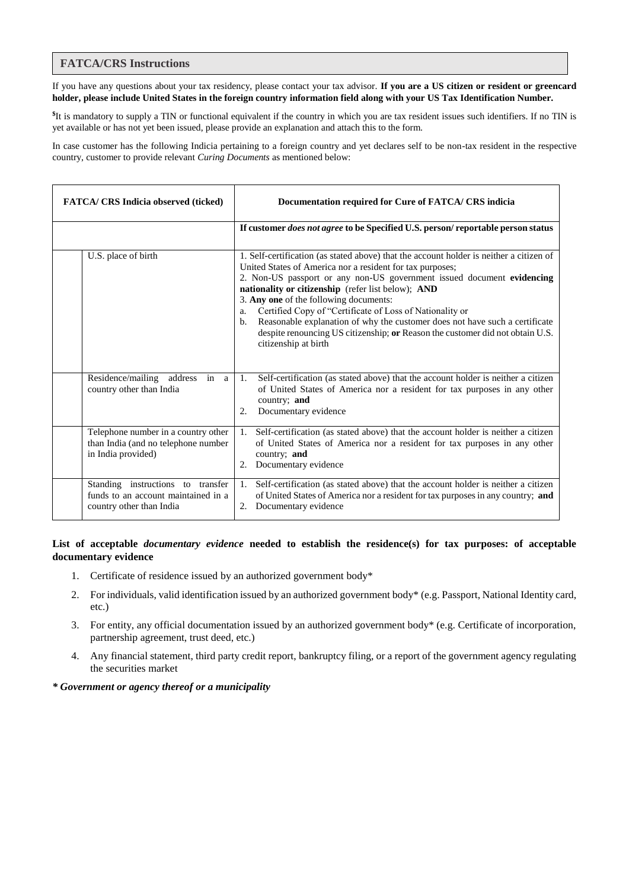### **FATCA/CRS Instructions**

If you have any questions about your tax residency, please contact your tax advisor. **If you are a US citizen or resident or greencard holder, please include United States in the foreign country information field along with your US Tax Identification Number.**

**\$** It is mandatory to supply a TIN or functional equivalent if the country in which you are tax resident issues such identifiers. If no TIN is yet available or has not yet been issued, please provide an explanation and attach this to the form.

In case customer has the following Indicia pertaining to a foreign country and yet declares self to be non-tax resident in the respective country, customer to provide relevant *Curing Documents* as mentioned below:

| <b>FATCA/ CRS Indicia observed (ticked)</b>                                                          | Documentation required for Cure of FATCA/ CRS indicia                                                                                                                                                                                                                                                                                                                                                                                                                                                                                                                                          |
|------------------------------------------------------------------------------------------------------|------------------------------------------------------------------------------------------------------------------------------------------------------------------------------------------------------------------------------------------------------------------------------------------------------------------------------------------------------------------------------------------------------------------------------------------------------------------------------------------------------------------------------------------------------------------------------------------------|
|                                                                                                      | If customer <i>does not agree</i> to be Specified U.S. person/reportable person status                                                                                                                                                                                                                                                                                                                                                                                                                                                                                                         |
| U.S. place of birth                                                                                  | 1. Self-certification (as stated above) that the account holder is neither a citizen of<br>United States of America nor a resident for tax purposes;<br>2. Non-US passport or any non-US government issued document evidencing<br>nationality or citizenship (refer list below); AND<br>3. Any one of the following documents:<br>Certified Copy of "Certificate of Loss of Nationality or<br>a.<br>Reasonable explanation of why the customer does not have such a certificate<br>b.<br>despite renouncing US citizenship; or Reason the customer did not obtain U.S.<br>citizenship at birth |
| Residence/mailing address in a<br>country other than India                                           | Self-certification (as stated above) that the account holder is neither a citizen<br>1.<br>of United States of America nor a resident for tax purposes in any other<br>country; and<br>Documentary evidence<br>2.                                                                                                                                                                                                                                                                                                                                                                              |
| Telephone number in a country other<br>than India (and no telephone number<br>in India provided)     | Self-certification (as stated above) that the account holder is neither a citizen<br>1.<br>of United States of America nor a resident for tax purposes in any other<br>country; and<br>Documentary evidence<br>2.                                                                                                                                                                                                                                                                                                                                                                              |
| Standing instructions to transfer<br>funds to an account maintained in a<br>country other than India | Self-certification (as stated above) that the account holder is neither a citizen<br>1.<br>of United States of America nor a resident for tax purposes in any country; and<br>Documentary evidence<br>2.                                                                                                                                                                                                                                                                                                                                                                                       |

**List of acceptable** *documentary evidence* **needed to establish the residence(s) for tax purposes: of acceptable documentary evidence**

- 1. Certificate of residence issued by an authorized government body\*
- 2. For individuals, valid identification issued by an authorized government body\* (e.g. Passport, National Identity card, etc.)
- 3. For entity, any official documentation issued by an authorized government body\* (e.g. Certificate of incorporation, partnership agreement, trust deed, etc.)
- 4. Any financial statement, third party credit report, bankruptcy filing, or a report of the government agency regulating the securities market

#### *\* Government or agency thereof or a municipality*